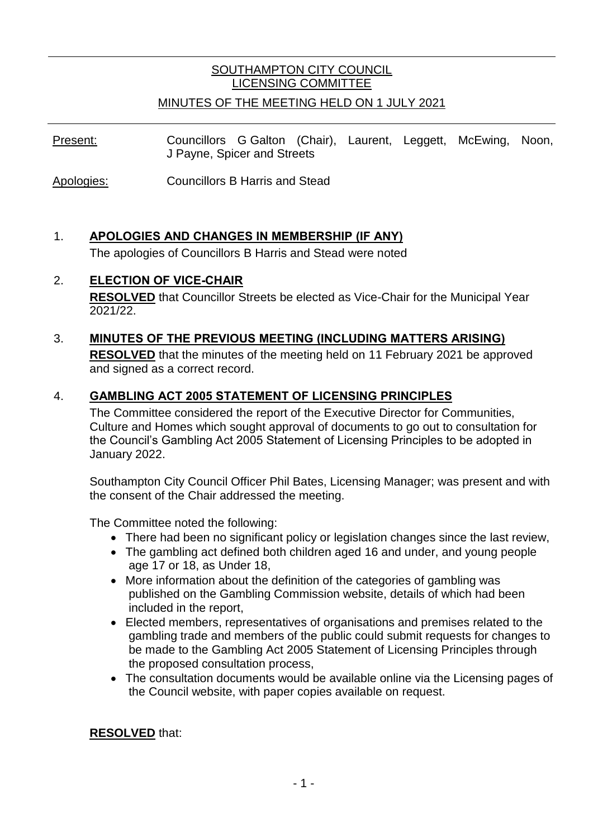## SOUTHAMPTON CITY COUNCIL LICENSING COMMITTEE

#### MINUTES OF THE MEETING HELD ON 1 JULY 2021

Present: Councillors G Galton (Chair), Laurent, Leggett, McEwing, Noon, J Payne, Spicer and Streets

Apologies: Councillors B Harris and Stead

### 1. **APOLOGIES AND CHANGES IN MEMBERSHIP (IF ANY)**

The apologies of Councillors B Harris and Stead were noted

#### 2. **ELECTION OF VICE-CHAIR**

**RESOLVED** that Councillor Streets be elected as Vice-Chair for the Municipal Year 2021/22.

# 3. **MINUTES OF THE PREVIOUS MEETING (INCLUDING MATTERS ARISING)**

**RESOLVED** that the minutes of the meeting held on 11 February 2021 be approved and signed as a correct record.

#### 4. **GAMBLING ACT 2005 STATEMENT OF LICENSING PRINCIPLES**

The Committee considered the report of the Executive Director for Communities, Culture and Homes which sought approval of documents to go out to consultation for the Council's Gambling Act 2005 Statement of Licensing Principles to be adopted in January 2022.

Southampton City Council Officer Phil Bates, Licensing Manager; was present and with the consent of the Chair addressed the meeting.

The Committee noted the following:

- There had been no significant policy or legislation changes since the last review,
- The gambling act defined both children aged 16 and under, and young people age 17 or 18, as Under 18,
- More information about the definition of the categories of gambling was published on the Gambling Commission website, details of which had been included in the report,
- Elected members, representatives of organisations and premises related to the gambling trade and members of the public could submit requests for changes to be made to the Gambling Act 2005 Statement of Licensing Principles through the proposed consultation process,
- The consultation documents would be available online via the Licensing pages of the Council website, with paper copies available on request.

**RESOLVED** that: